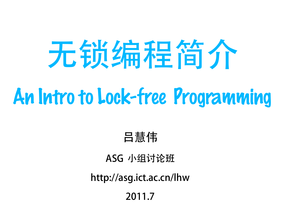# 无锁编程简介 An Intro to Lock-free Programming

#### 吕慧伟

#### ASG 小组讨论班

http://asg.ict.ac.cn/lhw

2011.7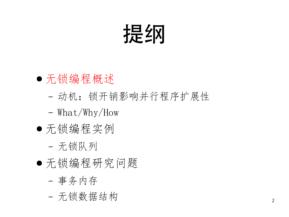### 提纲

- 无锁编程概述
	- ‒ 动机:锁开销影响并行程序扩展性
	- ‒ What/Why/How
- 无锁编程实例
	- ‒ 无锁队列
- 无锁编程研究问题
	- ‒ 事务内存
	- ‒ 无锁数据结构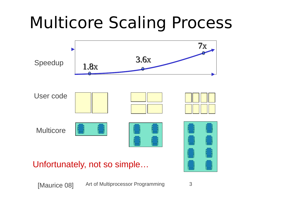#### Multicore Scaling Process



Art of Multiprocessor Programming 3 [Maurice 08]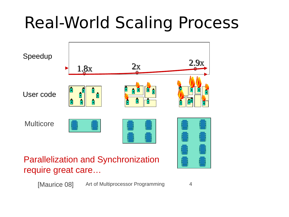#### Real-World Scaling Process



#### Parallelization and Synchronization require great care…

Art of Multiprocessor Programming 4 [Maurice 08]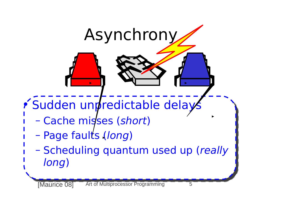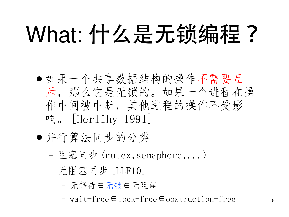## What: 什么是无锁编程?

- 如果一个共享数据结构的操作不需要互 斥,那么它是无锁的。如果一个进程在操 作中间被中断,其他进程的操作不受影 响。 [Herlihy 1991]
- 并行算法同步的分类
	- ‒ 阻塞同步 (mutex,semaphore,...)
	- ‒ 无阻塞同步 [LLF10]
		- 无等待∈无锁∈无阻碍
		- wait-free∈lock-free∈obstruction-free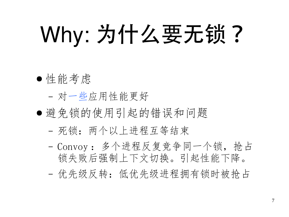## Why: 为什么要无锁?

#### ● 性能考虑

- ‒ 对一些应用性能更好
- 避免锁的使用引起的错误和问题
	- ‒ 死锁:两个以上进程互等结束
	- ‒ Convoy :多个进程反复竞争同一个锁,抢占 锁失败后强制上下文切换。引起性能下降。
	- ‒ 优先级反转:低优先级进程拥有锁时被抢占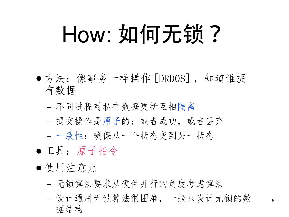## How: 如何无锁?

- 方法: 像事务一样操作 [DRD08], 知道谁拥 有数据
	- ‒ 不同进程对私有数据更新互相隔离
	- 提交操作是原子的: 或者成功, 或者丢弃
	- ‒ 一致性:确保从一个状态变到另一状态
- 工具:原子指令
- 使用注意点
	- ‒ 无锁算法要求从硬件并行的角度考虑算法
	- ‒ 设计通用无锁算法很困难,一般只设计无锁的数 据结构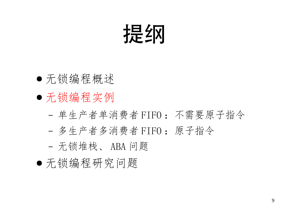### 提纲

- 无锁编程概述
- 无锁编程实例
	- ‒ 单生产者单消费者 FIFO :不需要原子指令
	- ‒ 多生产者多消费者 FIFO :原子指令
	- ‒ 无锁堆栈、 ABA 问题
- 无锁编程研究问题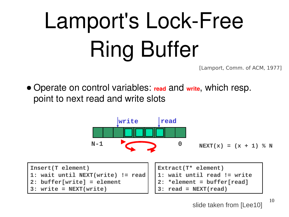## Lamport's Lock-Free Ring Buffer

[Lamport, Comm. of ACM, 1977]

● Operate on control variables: **read** and **write**, which resp. point to next read and write slots



slide taken from [Lee10]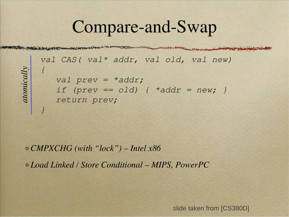#### Compare-and-Swap

val CAS ( val\* addr, val old, val new) val prev =  $*addr;$ if (prev == old) {  $*addr = new;$  } return prev;

 $\circ$  CMPXCHG (with "lock") – Intel x86 o Load Linked / Store Conditional – MIPS, PowerPC

atomically

slide taken from [CS380D]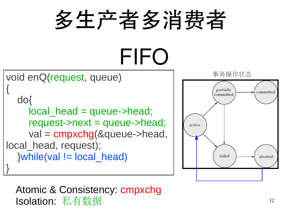

#### Atomic & Consistency: cmpxchg Isolation: 私有数据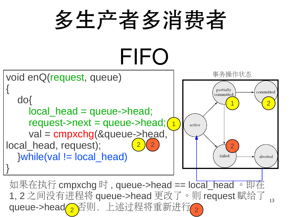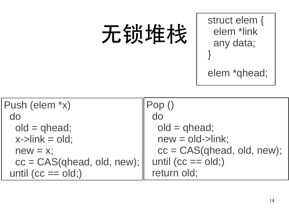## 无锁堆栈

struct elem { elem \*link any data; }

elem \*qhead;

| Push (elem *x)               |                              |
|------------------------------|------------------------------|
| do                           | $d_{0}$                      |
| $old = qhead;$               | $old = qhead;$               |
| $x$ ->link = old;            | $new = old$ - $link$ ;       |
| $new = x$ ;                  | $cc = CAS(qhead, old, new);$ |
| $cc = CAS(qhead, old, new);$ | until $(cc == old)$          |
| until $(cc == old)$          | return old;                  |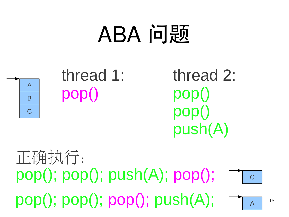#### $pop()$ ;  $pop()$ ;  $push(A)$ ;  $pop()$ ;  $\neg \top c$  $pop(); pop(); pop(); pop(); push(A); \tightharpoonup_{A}$ 正确执行:



#### thread 1: pop()

thread 2: pop() pop() push(A)

## ABA 问题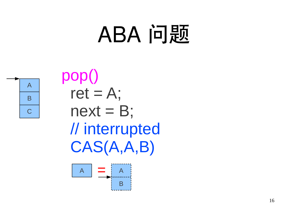

pop()  $ret = A$ ;  $next = B;$  // interrupted CAS(A,A,B)

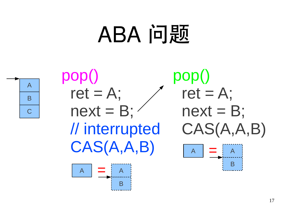





pop()  $ret = A$ ;  $next = B;$  CAS(A,A,B) A B  $\mathsf{A}$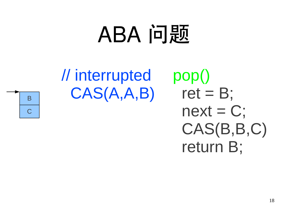### // interrupted CAS(A,A,B)

pop() ret  $= B$ ;  $next = C;$  CAS(B,B,C) return B;

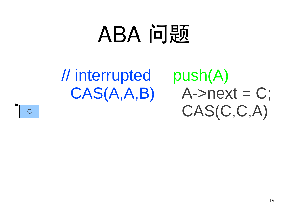#### // interrupted CAS(A,A,B)

push(A)  $A\rightarrow$ next = C; CAS(C,C,A)

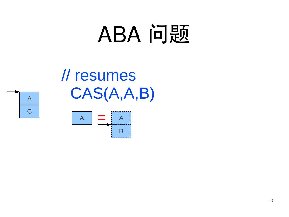// resumes  $A$   $CAS(A, A, B)$ 



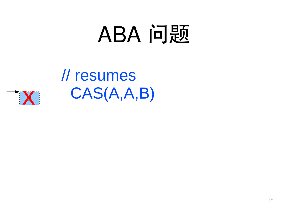// resumes  $\rightarrow$  X CAS(A,A,B)

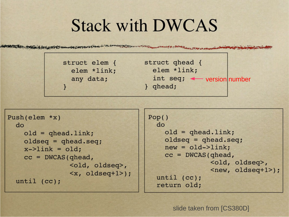#### **Stack with DWCAS**



```
Push(elem * x)d<sub>O</sub>old = qheadulink;oldseg = ghead-seq;x->link = old;
   cc = DWCAS (qhead,
                 <old, oldseq>,
                 \langle x, \text{oldeq+1} \rangle;
until (cc);
```

```
Pop()d<sub>O</sub>old = aheaduink;oldseg = ghead-seg;new = old->link;cc = DWCAS (qhead,
                <old, oldseq>,
                \langle new, oldseq+1 \rangle;
until (cc);
return old;
```
slide taken from [CS380D]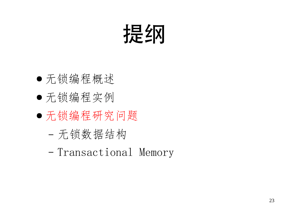

- 无锁编程概述
- 无锁编程实例
- 无锁编程研究问题
	- ‒ 无锁数据结构
	- ‒ Transactional Memory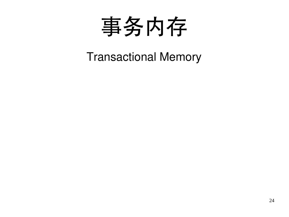

Transactional Memory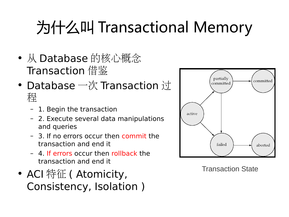#### 为什么叫 Transactional Memory

- 从 Database 的核心概念 Transaction 借鉴
- Database 一次 Transaction 过 程
	- 1. Begin the transaction
	- 2. Execute several data manipulations and queries
	- 3. If no errors occur then commit the transaction and end it
	- 4. If errors occur then rollback the transaction and end it
- ACI 特征 ( Atomicity, Consistency, Isolation )



Transaction State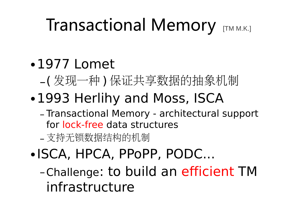#### Transactional Memory [TM M.K.]

#### •1977 Lomet

- –( 发现一种 ) 保证共享数据的抽象机制
- •1993 Herlihy and Moss, ISCA
	- Transactional Memory architectural support for lock-free data structures
	- 支持无锁数据结构的机制
- •ISCA, HPCA, PPoPP, PODC...
	- –Challenge: to build an efficient TM infrastructure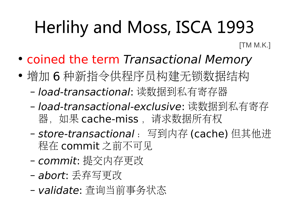### Herlihy and Moss, ISCA 1993

[TM M.K.]

- coined the term Transactional Memory
- 增加 6 种新指令供程序员构建无锁数据结构
	- load-transactional: 读数据到私有寄存器
	- load-transactional-exclusive: 读数据到私有寄存 器,如果 cache-miss, 请求数据所有权
	- store-transactional: 写到内存 (cache) 但其他进 程在 commit 之前不可见
	- commit: 提交内存更改
	- abort: 丢弃写更改
	- validate: 查询当前事务状态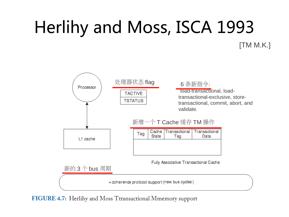## Herlihy and Moss, ISCA 1993

[TM M.K.]



FIGURE 4.7: Herlihy and Moss Ttransactional Mmemory support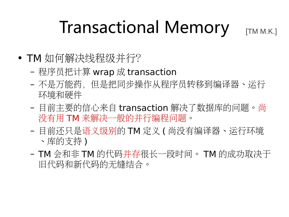#### Transactional Memory

[TM M.K.]

- TM 如何解决线程级并行?
	- 程序员把计算 wrap 成 transaction
	- 不是万能药,但是把同步操作从程序员转移到编译器、运行 环境和硬件
	- 目前主要的信心来自 transaction 解决了数据库的问题。尚 没有用 TM 来解决一般的并行编程问题。
	- 目前还只是语义级别的 TM 定义 ( 尚没有编译器、运行环境 、库的支持 )
	- TM 会和非 TM 的代码并存很长一段时间。 TM 的成功取决于 旧代码和新代码的无缝结合。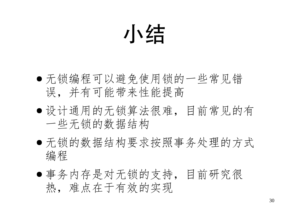## 小结

- 无锁编程可以避免使用锁的一些常见错 误,并有可能带来性能提高
- 设计通用的无锁算法很难,目前常见的有 一些无锁的数据结构
- 无锁的数据结构要求按照事务处理的方式 编程
- 事务内存是对无锁的支持,目前研究很 热,难点在于有效的实现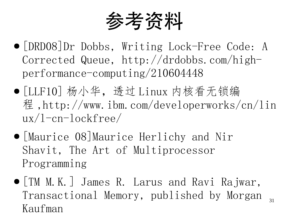参考资料

- [DRD08]Dr Dobbs, Writing Lock-Free Code: A Corrected Queue, http://drdobbs.com/highperformance-computing/210604448
- [LLF10] 杨小华,透过 Linux 内核看无锁编 程,http://www.ibm.com/developerworks/cn/lin ux/l-cn-lockfree/
- [Maurice 08]Maurice Herlichy and Nir Shavit, The Art of Multiprocessor Programming
- 31 ● [TM M.K.] James R. Larus and Ravi Rajwar, Transactional Memory, published by Morgan Kaufman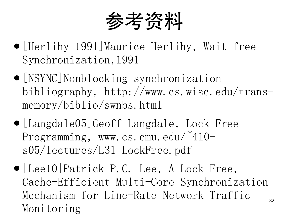参考资料

- [Herlihy 1991]Maurice Herlihy, Wait-free Synchronization,1991
- [NSYNC]Nonblocking synchronization bibliography, http://www.cs.wisc.edu/transmemory/biblio/swnbs.html
- [Langdale05]Geoff Langdale, Lock-Free Programming, www.cs.cmu.edu/ $410$ s05/lectures/L31\_LockFree.pdf
- 32 ● [Lee10]Patrick P.C. Lee, A Lock-Free, Cache-Efficient Multi-Core Synchronization Mechanism for Line-Rate Network Traffic Monitoring